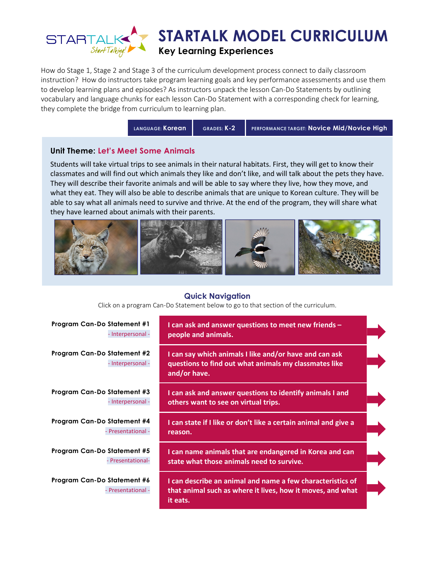

How do Stage 1, Stage 2 and Stage 3 of the curriculum development process connect to daily classroom instruction? How do instructors take program learning goals and key performance assessments and use them to develop learning plans and episodes? As instructors unpack the lesson Can-Do Statements by outlining vocabulary and language chunks for each lesson Can-Do Statement with a corresponding check for learning, they complete the bridge from curriculum to learning plan.

LANGUAGE: Korean GRADES: K-2 PERFORMANCE TARGET: Novice Mid/Novice High

### Unit Theme: Let's Meet Some Animals

Students will take virtual trips to see animals in their natural habitats. First, they will get to know their classmates and will find out which animals they like and don't like, and will talk about the pets they have. They will describe their favorite animals and will be able to say where they live, how they move, and what they eat. They will also be able to describe animals that are unique to Korean culture. They will be able to say what all animals need to survive and thrive. At the end of the program, they will share what they have learned about animals with their parents.



### Quick Navigation

Click on a program Can-Do Statement below to go to that section of the curriculum.

| <b>Program Can-Do Statement #1</b>                | I can ask and answer questions to meet new friends $-$                                                                               |
|---------------------------------------------------|--------------------------------------------------------------------------------------------------------------------------------------|
| - Interpersonal -                                 | people and animals.                                                                                                                  |
| Program Can-Do Statement #2<br>- Interpersonal -  | I can say which animals I like and/or have and can ask<br>questions to find out what animals my classmates like<br>and/or have.      |
| Program Can-Do Statement #3                       | I can ask and answer questions to identify animals I and                                                                             |
| - Interpersonal -                                 | others want to see on virtual trips.                                                                                                 |
| Program Can-Do Statement #4                       | I can state if I like or don't like a certain animal and give a                                                                      |
| - Presentational -                                | reason.                                                                                                                              |
| Program Can-Do Statement #5                       | I can name animals that are endangered in Korea and can                                                                              |
| - Presentational-                                 | state what those animals need to survive.                                                                                            |
| Program Can-Do Statement #6<br>- Presentational - | I can describe an animal and name a few characteristics of<br>that animal such as where it lives, how it moves, and what<br>it eats. |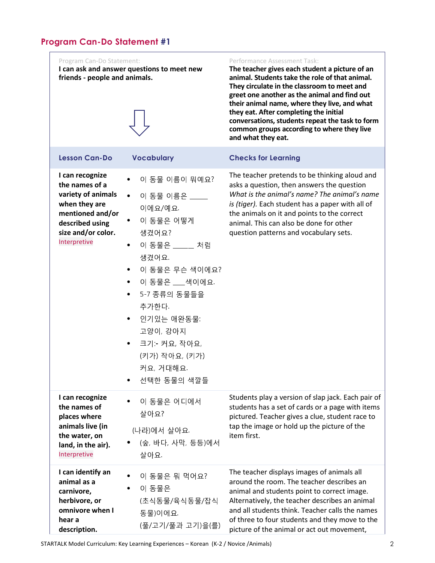| Program Can-Do Statement:<br>friends - people and animals.                                                                                            | I can ask and answer questions to meet new                                                                                                                                                                                                                                                       | Performance Assessment Task:<br>The teacher gives each student a picture of an<br>animal. Students take the role of that animal.<br>They circulate in the classroom to meet and<br>greet one another as the animal and find out<br>their animal name, where they live, and what<br>they eat. After completing the initial<br>conversations, students repeat the task to form<br>common groups according to where they live<br>and what they eat. |
|-------------------------------------------------------------------------------------------------------------------------------------------------------|--------------------------------------------------------------------------------------------------------------------------------------------------------------------------------------------------------------------------------------------------------------------------------------------------|--------------------------------------------------------------------------------------------------------------------------------------------------------------------------------------------------------------------------------------------------------------------------------------------------------------------------------------------------------------------------------------------------------------------------------------------------|
| <b>Lesson Can-Do</b>                                                                                                                                  | <b>Vocabulary</b>                                                                                                                                                                                                                                                                                | <b>Checks for Learning</b>                                                                                                                                                                                                                                                                                                                                                                                                                       |
| I can recognize<br>the names of a<br>variety of animals<br>when they are<br>mentioned and/or<br>described using<br>size and/or color.<br>Interpretive | 이 동물 이름이 뭐예요?<br>이 동물 이름은 ____<br>$\bullet$<br>이에요/예요.<br>이 동물은 어떻게<br>생겼어요?<br>이 동물은 ____ 처럼<br>$\bullet$<br>생겼어요.<br>이 동물은 무슨 색이에요?<br>$\bullet$<br>이 동물은 __색이에요.<br>$\bullet$<br>5-7 종류의 동물들을<br>추가한다.<br>인기있는 애완동물<br>고양이, 강아지<br>크기: 커요, 작아요,<br>(키가) 작아요, (키가)<br>커요, 거대해요.<br>선택한 동물의 색깔들 | The teacher pretends to be thinking aloud and<br>asks a question, then answers the question<br>What is the animal's name? The animal's name<br>is (tiger). Each student has a paper with all of<br>the animals on it and points to the correct<br>animal. This can also be done for other<br>question patterns and vocabulary sets.                                                                                                              |
| I can recognize<br>the names of<br>places where<br>animals live (in<br>the water, on<br>land, in the air).<br>Interpretive                            | 이 동물은 어디에서<br>살아요?<br>(나라)에서 살아요.<br>(숲, 바다, 사막, 등등)에서<br>살아요.                                                                                                                                                                                                                                   | Students play a version of slap jack. Each pair of<br>students has a set of cards or a page with items<br>pictured. Teacher gives a clue, student race to<br>tap the image or hold up the picture of the<br>item first.                                                                                                                                                                                                                          |
| I can identify an<br>animal as a<br>carnivore,<br>herbivore, or<br>omnivore when I<br>hear a<br>description.                                          | 이 동물은 뭐 먹어요?<br>이 동물은<br>(초식동물/육식동물/잡식<br>동물)이에요.<br>(풀/고기/풀과 고기)을(를)                                                                                                                                                                                                                            | The teacher displays images of animals all<br>around the room. The teacher describes an<br>animal and students point to correct image.<br>Alternatively, the teacher describes an animal<br>and all students think. Teacher calls the names<br>of three to four students and they move to the<br>picture of the animal or act out movement,                                                                                                      |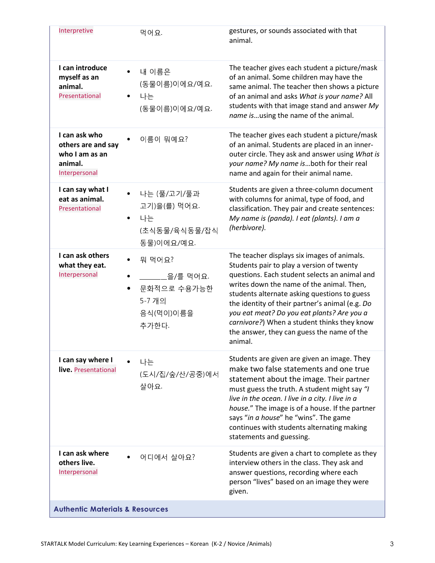| Interpretive                                                                      | 먹어요.                                                                            | gestures, or sounds associated with that<br>animal.                                                                                                                                                                                                                                                                                                                                                                                             |
|-----------------------------------------------------------------------------------|---------------------------------------------------------------------------------|-------------------------------------------------------------------------------------------------------------------------------------------------------------------------------------------------------------------------------------------------------------------------------------------------------------------------------------------------------------------------------------------------------------------------------------------------|
| I can introduce<br>myself as an<br>animal.<br>Presentational                      | 내 이름은<br>(동물이름)이에요/예요.<br>나는<br>(동물이름)이에요/예요.                                   | The teacher gives each student a picture/mask<br>of an animal. Some children may have the<br>same animal. The teacher then shows a picture<br>of an animal and asks What is your name? All<br>students with that image stand and answer My<br>name isusing the name of the animal.                                                                                                                                                              |
| I can ask who<br>others are and say<br>who I am as an<br>animal.<br>Interpersonal | 이름이 뭐예요?                                                                        | The teacher gives each student a picture/mask<br>of an animal. Students are placed in an inner-<br>outer circle. They ask and answer using What is<br>your name? My name isboth for their real<br>name and again for their animal name.                                                                                                                                                                                                         |
| I can say what I<br>eat as animal.<br>Presentational                              | • 나는 (풀/고기/풀과<br>고기)을(를) 먹어요.<br>나는<br>$\bullet$<br>(초식동물/육식동물/잡식<br>동물)이에요/예요. | Students are given a three-column document<br>with columns for animal, type of food, and<br>classification. They pair and create sentences:<br>My name is (panda). I eat (plants). I am a<br>(herbivore).                                                                                                                                                                                                                                       |
| I can ask others<br>what they eat.<br>Interpersonal                               | 뭐 먹어요?<br>_____을/를 먹어요.<br>문화적으로 수용가능한<br>5-7 개의<br>음식(먹이)이름을<br>추가한다.          | The teacher displays six images of animals.<br>Students pair to play a version of twenty<br>questions. Each student selects an animal and<br>writes down the name of the animal. Then,<br>students alternate asking questions to guess<br>the identity of their partner's animal (e.g. Do<br>you eat meat? Do you eat plants? Are you a<br>carnivore?) When a student thinks they know<br>the answer, they can guess the name of the<br>animal. |
| I can say where I<br>live. Presentational                                         | 나는<br>(도시/집/숲/산/공중)에서<br>살아요.                                                   | Students are given are given an image. They<br>make two false statements and one true<br>statement about the image. Their partner<br>must guess the truth. A student might say "/<br>live in the ocean. I live in a city. I live in a<br>house." The image is of a house. If the partner<br>says "in a house" he "wins". The game<br>continues with students alternating making<br>statements and guessing.                                     |
| I can ask where<br>others live.<br>Interpersonal                                  | 어디에서 살아요?                                                                       | Students are given a chart to complete as they<br>interview others in the class. They ask and<br>answer questions, recording where each<br>person "lives" based on an image they were<br>given.                                                                                                                                                                                                                                                 |
| <b>Authentic Materials &amp; Resources</b>                                        |                                                                                 |                                                                                                                                                                                                                                                                                                                                                                                                                                                 |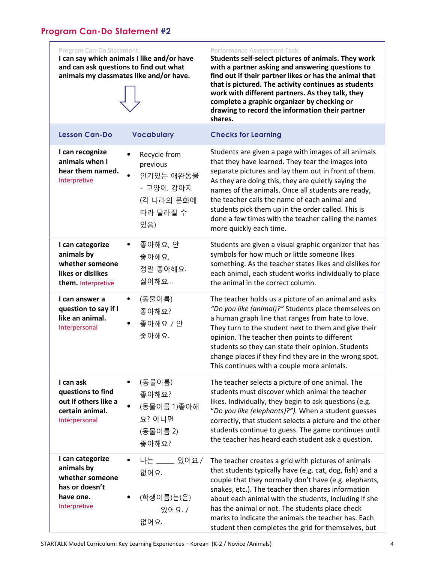Program Can-Do Statement:

I can say which animals I like and/or have and can ask questions to find out what animals my classmates like and/or have.

|                                                                                                  |                                                                                      | complete a graphic organizer by checking or<br>drawing to record the information their partner<br>shares.                                                                                                                                                                                                                                                                                                                                                               |
|--------------------------------------------------------------------------------------------------|--------------------------------------------------------------------------------------|-------------------------------------------------------------------------------------------------------------------------------------------------------------------------------------------------------------------------------------------------------------------------------------------------------------------------------------------------------------------------------------------------------------------------------------------------------------------------|
| <b>Lesson Can-Do</b>                                                                             | <b>Vocabulary</b>                                                                    | <b>Checks for Learning</b>                                                                                                                                                                                                                                                                                                                                                                                                                                              |
| I can recognize<br>animals when I<br>hear them named.<br>Interpretive                            | Recycle from<br>previous<br>인기있는 애완동물<br>- 고양이, 강아지<br>(각 나라의 문화에<br>따라 달라질 수<br>있음) | Students are given a page with images of all animals<br>that they have learned. They tear the images into<br>separate pictures and lay them out in front of them.<br>As they are doing this, they are quietly saying the<br>names of the animals. Once all students are ready,<br>the teacher calls the name of each animal and<br>students pick them up in the order called. This is<br>done a few times with the teacher calling the names<br>more quickly each time. |
| I can categorize<br>animals by<br>whether someone<br>likes or dislikes<br>them. Interpretive     | 좋아해요, 안<br>좋아해요,<br>정말 좋아해요.<br>싫어해요                                                 | Students are given a visual graphic organizer that has<br>symbols for how much or little someone likes<br>something. As the teacher states likes and dislikes for<br>each animal, each student works individually to place<br>the animal in the correct column.                                                                                                                                                                                                         |
| I can answer a<br>question to say if I<br>like an animal.<br>Interpersonal                       | (동물이름)<br>٠<br>좋아해요?<br>좋아해요 / 안<br>좋아해요.                                            | The teacher holds us a picture of an animal and asks<br>"Do you like (animal)?" Students place themselves on<br>a human graph line that ranges from hate to love.<br>They turn to the student next to them and give their<br>opinion. The teacher then points to different<br>students so they can state their opinion. Students<br>change places if they find they are in the wrong spot.<br>This continues with a couple more animals.                                |
| I can ask<br>questions to find<br>out if others like a<br>certain animal.<br>Interpersonal       | (동물이름)<br>٠<br>좋아해요?<br>(동물이름 1)좋아해<br>요? 아니면<br>(동물이름 2)<br>좋아해요?                   | The teacher selects a picture of one animal. The<br>students must discover which animal the teacher<br>likes. Individually, they begin to ask questions (e.g.<br>"Do you like (elephants)?"). When a student guesses<br>correctly, that student selects a picture and the other<br>students continue to guess. The game continues until<br>the teacher has heard each student ask a question.                                                                           |
| I can categorize<br>animals by<br>whether someone<br>has or doesn't<br>have one.<br>Interpretive | 나는 ____ 있어요 /<br>없어요.<br>(학생이름)는(은)<br>__ 있어요 /<br>없어요.                              | The teacher creates a grid with pictures of animals<br>that students typically have (e.g. cat, dog, fish) and a<br>couple that they normally don't have (e.g. elephants,<br>snakes, etc.). The teacher then shares information<br>about each animal with the students, including if she<br>has the animal or not. The students place check<br>marks to indicate the animals the teacher has. Each                                                                       |

Performance Assessment Task:

Students self-select pictures of animals. They work with a partner asking and answering questions to find out if their partner likes or has the animal that that is pictured. The activity continues as students work with different partners. As they talk, they

student then completes the grid for themselves, but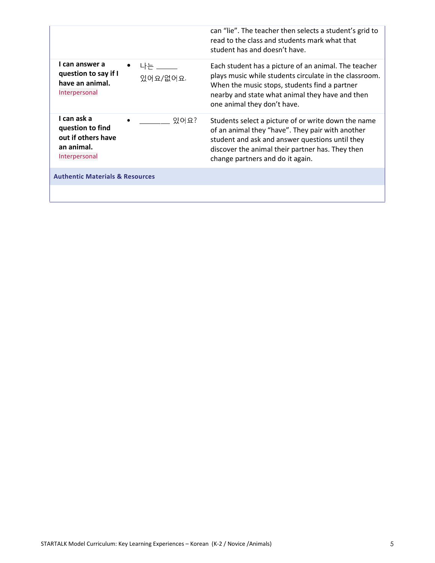|                                                                                                 | can "lie". The teacher then selects a student's grid to<br>read to the class and students mark what that<br>student has and doesn't have.                                                                                                          |
|-------------------------------------------------------------------------------------------------|----------------------------------------------------------------------------------------------------------------------------------------------------------------------------------------------------------------------------------------------------|
| I can answer a<br>나는 나는<br>question to say if I<br>있어요/없어요.<br>have an animal.<br>Interpersonal | Each student has a picture of an animal. The teacher<br>plays music while students circulate in the classroom.<br>When the music stops, students find a partner<br>nearby and state what animal they have and then<br>one animal they don't have.  |
| I can ask a<br>있어요?<br>question to find<br>out if others have<br>an animal.<br>Interpersonal    | Students select a picture of or write down the name<br>of an animal they "have". They pair with another<br>student and ask and answer questions until they<br>discover the animal their partner has. They then<br>change partners and do it again. |
| <b>Authentic Materials &amp; Resources</b>                                                      |                                                                                                                                                                                                                                                    |
|                                                                                                 |                                                                                                                                                                                                                                                    |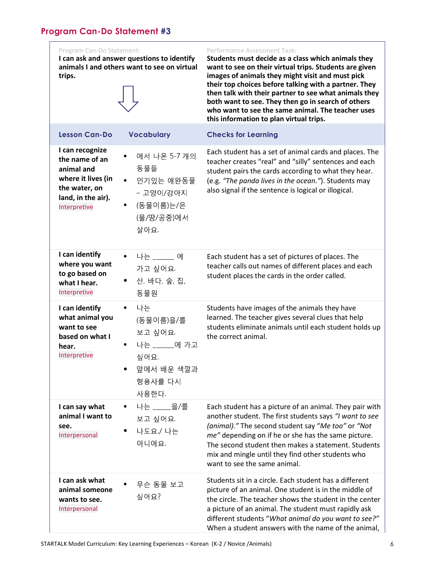I can ask and answer questions to identify animals I and others want to see on virtual trips.

#### Performance Assessment Task:

Students must decide as a class which animals they want to see on their virtual trips. Students are given images of animals they might visit and must pick their top choices before talking with a partner. They then talk with their partner to see what animals they both want to see. They then go in search of others who want to see the same animal. The teacher uses this information to plan virtual trips.

| <b>Lesson Can-Do</b>                                                                                                         | <b>Vocabulary</b>                                                                                  | <b>Checks for Learning</b>                                                                                                                                                                                                                                                                                                                                                  |
|------------------------------------------------------------------------------------------------------------------------------|----------------------------------------------------------------------------------------------------|-----------------------------------------------------------------------------------------------------------------------------------------------------------------------------------------------------------------------------------------------------------------------------------------------------------------------------------------------------------------------------|
| I can recognize<br>the name of an<br>animal and<br>where it lives (in<br>the water, on<br>land, in the air).<br>Interpretive | 에서 나온 5-7 개의<br>동물들<br>인기있는 애완동물<br>- 고양이/강아지<br>• (동물이름)는/은<br>(물/땅/공중)에서<br>살아요.                 | Each student has a set of animal cards and places. The<br>teacher creates "real" and "silly" sentences and each<br>student pairs the cards according to what they hear.<br>(e.g. "The panda lives in the ocean."). Students may<br>also signal if the sentence is logical or illogical.                                                                                     |
| I can identify<br>where you want<br>to go based on<br>what I hear.<br>Interpretive                                           | • 나는 _____ 에<br>가고 싶어요.<br>산, 바다, 숲, 집,<br>동물원                                                     | Each student has a set of pictures of places. The<br>teacher calls out names of different places and each<br>student places the cards in the order called.                                                                                                                                                                                                                  |
| I can identify<br>what animal you<br>want to see<br>based on what I<br>hear.<br>Interpretive                                 | 나는<br>$\bullet$<br>(동물이름)을/를<br>보고 싶어요.<br>나는 ______에 가고<br>싶어요.<br>앞에서 배운 색깔과<br>형용사를 다시<br>사용한다. | Students have images of the animals they have<br>learned. The teacher gives several clues that help<br>students eliminate animals until each student holds up<br>the correct animal.                                                                                                                                                                                        |
| I can say what<br>animal I want to<br>see.<br>Interpersonal                                                                  | 나는 _____을/를<br>$\bullet$<br>보고 싶어요.<br>나도요 / 나는<br>아니에요.                                           | Each student has a picture of an animal. They pair with<br>another student. The first students says "I want to see<br>(animal)." The second student say "Me too" or "Not<br>me" depending on if he or she has the same picture.<br>The second student then makes a statement. Students<br>mix and mingle until they find other students who<br>want to see the same animal. |
| I can ask what<br>animal someone<br>wants to see.<br>Interpersonal                                                           | 무슨 동물 보고<br>싶어요?                                                                                   | Students sit in a circle. Each student has a different<br>picture of an animal. One student is in the middle of<br>the circle. The teacher shows the student in the center<br>a picture of an animal. The student must rapidly ask<br>different students "What animal do you want to see?"<br>When a student answers with the name of the animal,                           |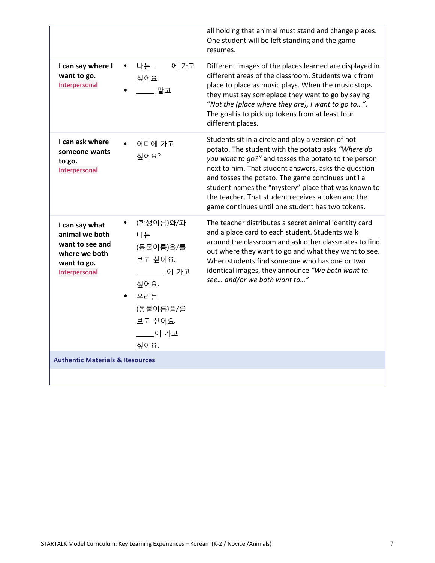|                                                                                                      |                                                                                                                 | all holding that animal must stand and change places.<br>One student will be left standing and the game<br>resumes.                                                                                                                                                                                                                                                                                                                            |
|------------------------------------------------------------------------------------------------------|-----------------------------------------------------------------------------------------------------------------|------------------------------------------------------------------------------------------------------------------------------------------------------------------------------------------------------------------------------------------------------------------------------------------------------------------------------------------------------------------------------------------------------------------------------------------------|
| I can say where I<br>want to go.<br>Interpersonal                                                    | 나는 ____에 가고<br>$\bullet$<br>싶어요<br>_____ 말고                                                                     | Different images of the places learned are displayed in<br>different areas of the classroom. Students walk from<br>place to place as music plays. When the music stops<br>they must say someplace they want to go by saying<br>"Not the (place where they are), I want to go to".<br>The goal is to pick up tokens from at least four<br>different places.                                                                                     |
| I can ask where<br>someone wants<br>to go.<br>Interpersonal                                          | 어디에 가고<br>싶어요?                                                                                                  | Students sit in a circle and play a version of hot<br>potato. The student with the potato asks "Where do<br>you want to go?" and tosses the potato to the person<br>next to him. That student answers, asks the question<br>and tosses the potato. The game continues until a<br>student names the "mystery" place that was known to<br>the teacher. That student receives a token and the<br>game continues until one student has two tokens. |
| I can say what<br>animal we both<br>want to see and<br>where we both<br>want to go.<br>Interpersonal | (학생이름)와/과<br>나는<br>(동물이름)을/를<br>보고 싶어요.<br>_____에 가고<br>싶어요.<br>우리는<br>(동물이름)을/를<br>보고 싶어요.<br>____에 가고<br>싶어요. | The teacher distributes a secret animal identity card<br>and a place card to each student. Students walk<br>around the classroom and ask other classmates to find<br>out where they want to go and what they want to see.<br>When students find someone who has one or two<br>identical images, they announce "We both want to<br>see and/or we both want to"                                                                                  |
| <b>Authentic Materials &amp; Resources</b>                                                           |                                                                                                                 |                                                                                                                                                                                                                                                                                                                                                                                                                                                |
|                                                                                                      |                                                                                                                 |                                                                                                                                                                                                                                                                                                                                                                                                                                                |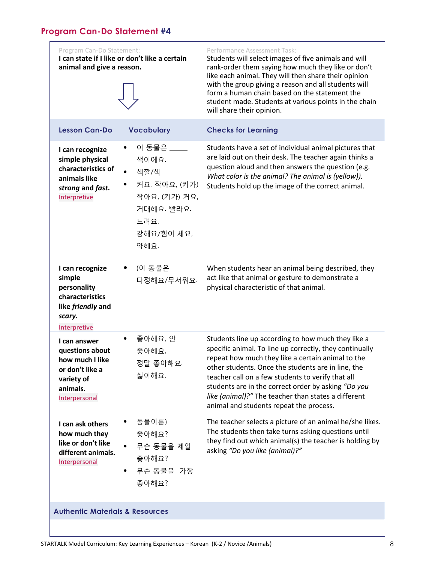| Program Can-Do Statement:<br>animal and give a reason.                                                           | I can state if I like or don't like a certain                                                            | Performance Assessment Task:<br>Students will select images of five animals and will<br>rank-order them saying how much they like or don't<br>like each animal. They will then share their opinion<br>with the group giving a reason and all students will<br>form a human chain based on the statement the<br>student made. Students at various points in the chain<br>will share their opinion.                                      |
|------------------------------------------------------------------------------------------------------------------|----------------------------------------------------------------------------------------------------------|----------------------------------------------------------------------------------------------------------------------------------------------------------------------------------------------------------------------------------------------------------------------------------------------------------------------------------------------------------------------------------------------------------------------------------------|
| <b>Lesson Can-Do</b>                                                                                             | <b>Vocabulary</b>                                                                                        | <b>Checks for Learning</b>                                                                                                                                                                                                                                                                                                                                                                                                             |
| I can recognize<br>simple physical<br>characteristics of<br>animals like<br>strong and fast.<br>Interpretive     | 이 동물은 ____<br>색이에요.<br>색깔/색<br>커요, 작아요, (키가)<br>작아요, (키가) 커요,<br>거대해요 빨라요.<br>느려요,<br>강해요/힘이 세요,<br>약해요. | Students have a set of individual animal pictures that<br>are laid out on their desk. The teacher again thinks a<br>question aloud and then answers the question (e.g.<br>What color is the animal? The animal is (yellow)).<br>Students hold up the image of the correct animal.                                                                                                                                                      |
| I can recognize<br>simple<br>personality<br>characteristics<br>like friendly and<br>scary.<br>Interpretive       | (이 동물은<br>다정해요/무서워요.                                                                                     | When students hear an animal being described, they<br>act like that animal or gesture to demonstrate a<br>physical characteristic of that animal.                                                                                                                                                                                                                                                                                      |
| I can answer<br>questions about<br>how much I like<br>or don't like a<br>variety of<br>animals.<br>Interpersonal | 좋아해요, 안<br>좋아해요,<br>정말 좋아해요.<br>싫어해요.                                                                    | Students line up according to how much they like a<br>specific animal. To line up correctly, they continually<br>repeat how much they like a certain animal to the<br>other students. Once the students are in line, the<br>teacher call on a few students to verify that all<br>students are in the correct order by asking "Do you<br>like (animal)?" The teacher than states a different<br>animal and students repeat the process. |
| I can ask others<br>how much they<br>like or don't like<br>different animals.<br>Interpersonal                   | 동물이름)<br>좋아해요?<br>무슨 동물을 제일<br>좋아해요?<br>무슨 동물을 가장<br>좋아해요?                                               | The teacher selects a picture of an animal he/she likes.<br>The students then take turns asking questions until<br>they find out which animal(s) the teacher is holding by<br>asking "Do you like (animal)?"                                                                                                                                                                                                                           |
| <b>Authentic Materials &amp; Resources</b>                                                                       |                                                                                                          |                                                                                                                                                                                                                                                                                                                                                                                                                                        |
|                                                                                                                  |                                                                                                          |                                                                                                                                                                                                                                                                                                                                                                                                                                        |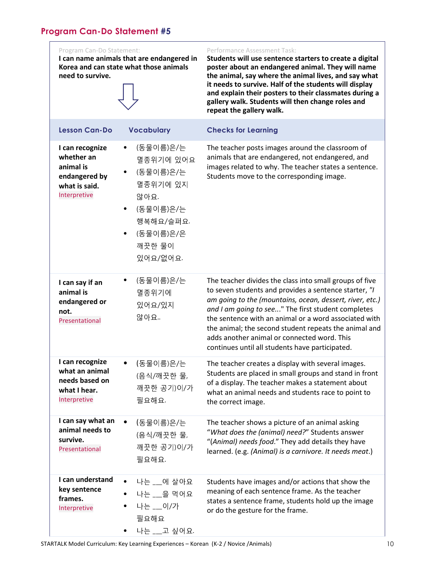Program Can-Do Statement:

I can name animals that are endangered in Korea and can state what those animals need to survive.

| <b>Lesson Can-Do</b>                                                                         | <b>Vocabulary</b>                                                                                                  |
|----------------------------------------------------------------------------------------------|--------------------------------------------------------------------------------------------------------------------|
| I can recognize<br>whether an<br>animal is<br>endangered by<br>what is said.<br>Interpretive | (동물이름)은,<br>멸종위기에 9<br>(동물이름)은,<br>멸종위기에 9<br>않아요.<br>(동물이름)은,<br>행복해요/슬!<br>(동물이름)은,<br>깨끗한 물이<br>있어요/없어 <u>:</u> |
| I can say if an<br>animal is<br>endangered or<br>not.<br>Presentational                      | (동물이름)은,<br>멸종위기에<br>있어요/있지<br>않아요.                                                                                |

#### Performance Assessment Task:

Students will use sentence starters to create a digital poster about an endangered animal. They will name the animal, say where the animal lives, and say what it needs to survive. Half of the students will display and explain their posters to their classmates during a gallery walk. Students will then change roles and repeat the gallery walk.

| <b>Lesson Can-Do</b>                                                                         | <b>Vocabulary</b>                                                                                                                                  | <b>Checks for Learning</b>                                                                                                                                                                                                                                                                                                                                                                                                                             |
|----------------------------------------------------------------------------------------------|----------------------------------------------------------------------------------------------------------------------------------------------------|--------------------------------------------------------------------------------------------------------------------------------------------------------------------------------------------------------------------------------------------------------------------------------------------------------------------------------------------------------------------------------------------------------------------------------------------------------|
| I can recognize<br>whether an<br>animal is<br>endangered by<br>what is said.<br>Interpretive | (동물이름)은/는<br>٠<br>멸종위기에 있어요<br>(동물이름)은/는<br>멸종위기에 있지<br>않아요.<br>(동물이름)은/는<br>$\bullet$<br>행복해요/슬퍼요.<br>(동물이름)은/은<br>$\bullet$<br>깨끗한 물이<br>있어요/없어요 | The teacher posts images around the classroom of<br>animals that are endangered, not endangered, and<br>images related to why. The teacher states a sentence.<br>Students move to the corresponding image.                                                                                                                                                                                                                                             |
| I can say if an<br>animal is<br>endangered or<br>not.<br>Presentational                      | (동물이름)은/는<br>멸종위기에<br>있어요/있지<br>않아요.                                                                                                               | The teacher divides the class into small groups of five<br>to seven students and provides a sentence starter, "I<br>am going to the (mountains, ocean, dessert, river, etc.)<br>and I am going to see" The first student completes<br>the sentence with an animal or a word associated with<br>the animal; the second student repeats the animal and<br>adds another animal or connected word. This<br>continues until all students have participated. |
| I can recognize<br>what an animal<br>needs based on<br>what I hear.<br>Interpretive          | (동물이름)은/는<br>$\bullet$<br>(음식/깨끗한 물,<br>깨끗한 공기)이/가<br>필요해요.                                                                                        | The teacher creates a display with several images.<br>Students are placed in small groups and stand in front<br>of a display. The teacher makes a statement about<br>what an animal needs and students race to point to<br>the correct image.                                                                                                                                                                                                          |
| I can say what an<br>animal needs to<br>survive.<br>Presentational                           | (동물이름)은/는<br>$\bullet$<br>(음식/깨끗한 물,<br>깨끗한 공기)이/가<br>필요해요.                                                                                        | The teacher shows a picture of an animal asking<br>"What does the (animal) need?" Students answer<br>"(Animal) needs food." They add details they have<br>learned. (e.g. (Animal) is a carnivore. It needs meat.)                                                                                                                                                                                                                                      |
| I can understand<br>key sentence<br>frames.<br>Interpretive                                  | 나는 __에 살아요<br>나는 _ 을 먹어요<br>나는 __이/가<br>필요해요<br>나는 고싶어요.                                                                                           | Students have images and/or actions that show the<br>meaning of each sentence frame. As the teacher<br>states a sentence frame, students hold up the image<br>or do the gesture for the frame.                                                                                                                                                                                                                                                         |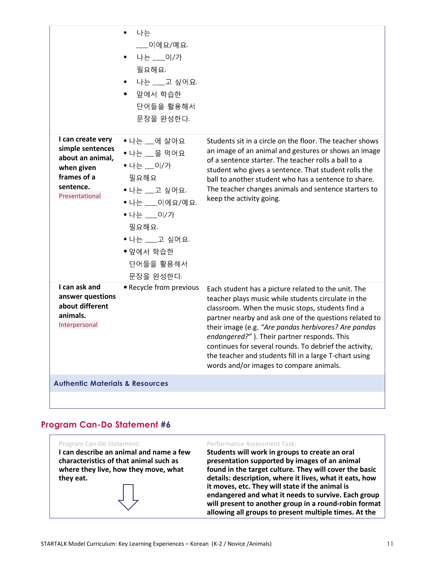|                                                                                                                       | 나는<br>___이에요/예요.<br>나는 ___이/가<br>필요해요.<br>나는 ___고 싶어요.<br>$\bullet$<br>앞에서 학습한<br>$\bullet$<br>단어들을 활용해서<br>문장을 와성하다.                                                   |                                                                                                                                                                                                                                                                                                                                                                                                                                                                                                |
|-----------------------------------------------------------------------------------------------------------------------|-------------------------------------------------------------------------------------------------------------------------------------------------------------------------|------------------------------------------------------------------------------------------------------------------------------------------------------------------------------------------------------------------------------------------------------------------------------------------------------------------------------------------------------------------------------------------------------------------------------------------------------------------------------------------------|
| I can create very<br>simple sentences<br>about an animal,<br>when given<br>frames of a<br>sentence.<br>Presentational | • 나는 __에 살아요<br>• 나는 __을 먹어요<br>• 나는 __이/가<br>필요해요<br>• 나는 __고 싶어요.<br>• 나는 ___이에요/예요.<br>• 나는 ___이/가<br>필요해요.<br>• 나는 ___고 싶어요.<br>• 앞에서 학습한<br>단어들을 활용해서<br>문장을 완성한다. | Students sit in a circle on the floor. The teacher shows<br>an image of an animal and gestures or shows an image<br>of a sentence starter. The teacher rolls a ball to a<br>student who gives a sentence. That student rolls the<br>ball to another student who has a sentence to share.<br>The teacher changes animals and sentence starters to<br>keep the activity going.                                                                                                                   |
| I can ask and<br>answer questions<br>about different<br>animals.<br>Interpersonal                                     | • Recycle from previous                                                                                                                                                 | Each student has a picture related to the unit. The<br>teacher plays music while students circulate in the<br>classroom. When the music stops, students find a<br>partner nearby and ask one of the questions related to<br>their image (e.g. "Are pandas herbivores? Are pandas<br>endangered?"). Their partner responds. This<br>continues for several rounds. To debrief the activity,<br>the teacher and students fill in a large T-chart using<br>words and/or images to compare animals. |
| <b>Authentic Materials &amp; Resources</b>                                                                            |                                                                                                                                                                         |                                                                                                                                                                                                                                                                                                                                                                                                                                                                                                |
|                                                                                                                       |                                                                                                                                                                         |                                                                                                                                                                                                                                                                                                                                                                                                                                                                                                |

Program Can-Do Statement: I can describe an animal and name a few characteristics of that animal such as where they live, how they move, what they eat.

#### Performance Assessment Task:

Students will work in groups to create an oral presentation supported by images of an animal found in the target culture. They will cover the basic details: description, where it lives, what it eats, how it moves, etc. They will state if the animal is endangered and what it needs to survive. Each group will present to another group in a round-robin format allowing all groups to present multiple times. At the